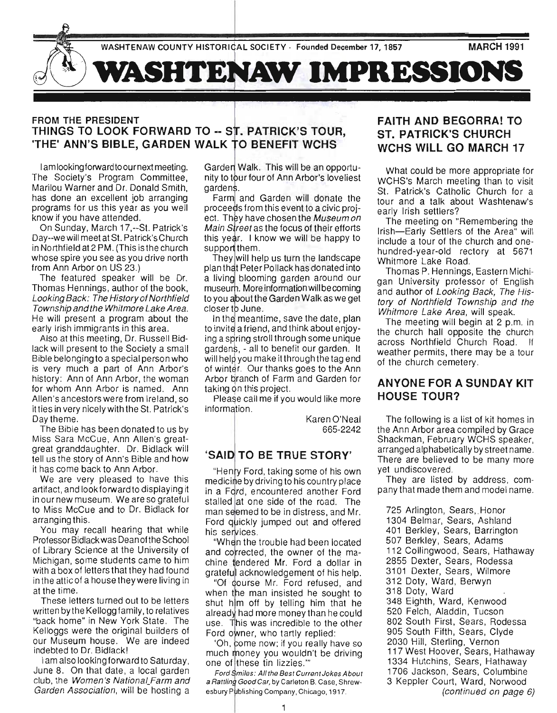

#### FROM THE PRESIDENT THINGS TO LOOK FORWARD TO -- . PATRICK'S TOUR, 'THE' ANN'S BIBLE, GARDEN WALK TO BENEFIT WCHS

I am looking forward to ournext meeting. The Society's Program Committee, Marilou Warner and Dr. Donald Smith, has done an excellent job arranging programs for us this year as you well know if you have attended.

On Sunday, March 17,--St. Patrick's Day--we will meet at St. Patrick's Church in Northfield at 2 PM. (This is the church whose spire you see as you drive north from Ann Arbor on US 23.)

The featured speaker will be Dr. Thomas Hennings, author of the book, Looking Back: The History of Northfield Township and the Whitmore Lake Area. He will present a program about the early Irish immigrants in this area.

Also at this meeting, Dr. Russell Bidlack will present to the Society a small Bible belonging to a special person who is very much a part of Ann Arbor's history: Ann of Ann Arbor, the woman for whom Ann Arbor is named. Ann Allen's ancestors were from Ireland, so it ties in very nicely with the S1. Patrick's Day theme.

The Bible has been donated to us by Miss Sara McCue, Ann Allen's greatgreat granddaughter. Dr. Bidlack will tell us the story of Ann's Bible and how it has come back to Ann Arbor.

We are very pleased to have this artifact, and look forward to displaying it in our new museum. We are so grateful to Miss McCue and to Dr. Bidlack for arranging this.

You may recall hearing that while Professor Bidlack was Dean of the School of Library Science at the University of Michigan, some students came to him with a box of letters that they had found in the attic of a house they were living in at the time.

These letters turned out to be letters written by the Kellogg family, to relatives "back home" in New York State. The Kelloggs were the original builders of our Museum house. We are indeed indebted to Dr. Bidlack!

I am also looking forward to Saturday, June 8. On that date, a local garden club, the Women's National Farm and Garden Association, will be hosting a

Garden Walk. This will be an opportunity to tour four of Ann Arbor's loveliest gardens.

Farm and Garden will donate the proceeds from this event to a civic project. They have chosen the Museum on Main Street as the focus of their efforts this year. I know we will be happy to support them.

They will help us turn the landscape plan that Peter Pollack has donated into a living blooming garden around our museum. More information will be coming to you about the Garden Walk as we get closer to June.

In the meantime, save the date, plan to invite a friend, and think about enjoying a spring stroll through some unique gardens, - all to benefit our garden. It will help you make it through the tag end of winter. Our thanks goes to the Ann Arbor branch of Farm and Garden for taking on this project.

Please call me if you would like more information.

Karen O'Neal 665-2242

#### 'SAID TO BE TRUE STORY'

"Henry Ford, taking some of his own medicine by driving to his country place in a Ford, encountered another Ford stalled at one side of the road. The man seemed to be in distress, and Mr. Ford quickly jumped out and offered his services.

"When the trouble had been located and corrected, the owner of the machine tendered Mr. Ford a dollar in grateful acknowledgement of his help.

"Of course Mr. Ford refused, and when the man insisted he sought to shut him off by telling him that he already had more money than he could use. This was incredible to the other Ford owner, who tartly replied:

'Oh, come now; if you really have so much money you wouldn't be driving one of these tin lizzies."

Ford Smiles: All the Best Current Jokes About a Rattling Good Car, by Carleton B. Case, Shrewesbury Publishing Company, Chicago, 1917.

# FAITH AND BEGORRA! TO ST. PATRICK'S CHURCH WCHS WILL GO MARCH 17

What could be more appropriate for WCHS's March meeting than to visit St. Patrick's Catholic Church for a tour and a talk about Washtenaw's early Irish settlers?

The meeting on "Remembering the Irish-Early Settlers of the Area" will include a tour of the church and onehu ndred-year-old rectory at 5671 Whitmore Lake Road.

Thomas P. Hennings, Eastern Michigan University professor of English and author of Looking Back, The History of Northfield Township and the Whitmore Lake Area, will speak.

The meeting will begin at 2 p.m. in the church hall opposite the church across Northfield Church Road. weather permits, there may be a tour of the church cemetery.

#### ANYONE FOR A SUNDAY KIT HOUSE TOUR?

The following is a list of kit homes in the Ann Arbor area compiled by Grace Shackman, February WCHS speaker, arranged alphabetically by street name. There are believed to be many more yet undiscovered.

They are listed by address, company that made them and model name.

725 Arlington, Sears, Honor 1304 Belmar, Sears, Ashland 401 Berkley, Sears, Barrington 507 Berkley, Sears, Adams 112 Collingwood, Sears, Hathaway 2855 Dexter, Sears, Rodessa 3101 Dexter, Sears, Wilmore 312 Doty, Ward, Berwyn 318 Doty, Ward 348 Eighth, Ward, Kenwood 520 Felch, Aladdin, Tucson 802 South First, Sears, Rodessa 905 South Fifth, Sears, Clyde 2030 Hill, Sterling. Vernon 117 West Hoover, Sears, Hathaway 1334 Hutchins, Sears, Hathaway 1706 Jackson, Sears, Columbine 3 Keppler Court, Ward, Norwood (continued on page 6)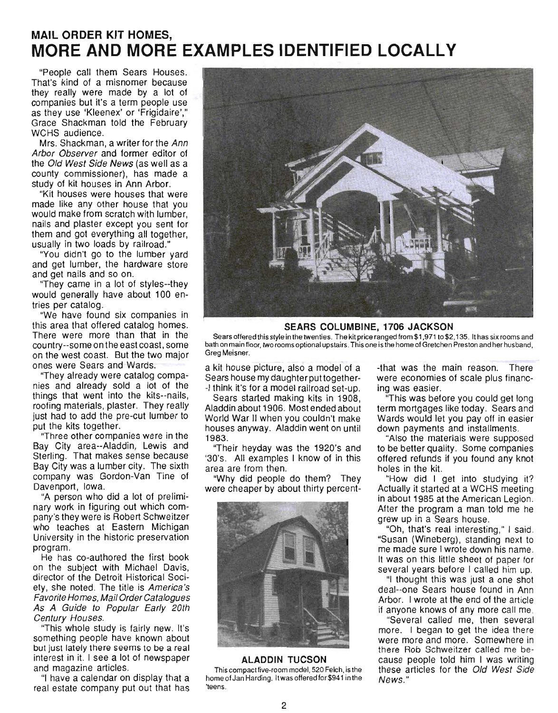# **MAIL ORDER KIT HOMES, MORE AND MORE EXAMPLES IDENTIFIED LOCALLY**

"People call them Sears Houses. That's kind of a misnomer because they really were made by a lot of companies but it's a term people use as they use 'Kleenex' or 'Frigidaire'," Grace Shackman told the February WCHS audience.

Mrs. Shackman, a writer for the Ann Arbor Observer and former editor of the Old West Side News (as well as a county commissioner), has made a study of kit houses in Ann Arbor.

"Kit houses were houses that were made like any other house that you would make from scratch with lumber, nails and plaster except you sent for them and got everything all together, usually in two loads by railroad."

"You didn't go to the lumber yard and get lumber, the hardware store and get nails and so on.

"They came in a lot of styles--they would generally have about 100 entries per catalog.

"We have found six companies in this area that offered catalog homes. There were more than that in the country--some on the east coast, some on the west coast. But the two major ones were Sears and Wards.

"They already were catalog companies and already sold a lot of the things that went into the kits--nails, roofing materials, plaster. They really just had to add the pre-cut lumber to put the kits together.

"Three other companies were in the Bay City area--Aladdin, Lewis and Sterling. That makes sense because Bay City was a lumber city. The sixth company was Gordon-Van Tine of Davenport, Iowa.

"A person who did a lot of preliminary work in figuring out which company's they were is Robert Schweitzer who teaches at Eastern Michigan University in the historic preservation program.

He has co-authored the first book on the subject with Michael Davis, director of the Detroit Historical Society, she noted. The title is America 's Favorite Homes, Mail Order Catalogues As A Guide to Popular Early 20th Century Houses.

"This whole study is fairly new. It's something people have known about but just lately there seems to be a real interest in it. I see a lot of newspaper and magazine articles.

"I have a calendar on display that a real estate company put out that has



**SEARS COLUMBINE, 1706 JACKSON** 

Sears offered this style in the twenties. The kit price ranged from \$1,971 to\$2,135. It has six rooms and bath on main floor, two rooms optional upstairs. This one is the home of Gretchen Preston and her husband, Greg Meisner.

a kit house picture, also a model of a Sears house my daughter put together- -I think it's for a model railroad set-up.

Sears started making kits in 1908, Aladdin about 1906. Most ended about World War II when you couldn't make houses anyway. Aladdin went on until 1983.

"Their heyday was the 1920's and '30's. All examples I know of in this area are from then.

"Why did people do them? They were cheaper by about thirty percent-



#### **ALADDIN TUCSON**

This compact five-room model, 520 Felch, is the home of Jan Harding. It was offered for \$941 in the 'teens.

-that was the main reason. There were economies of scale plus financing was easier.

"This was before you could get long term mortgages like today. Sears and Wards would let you payoff in easier down payments and installments.

"Also the materials were supposed to be better quality. Some companies offered refunds if you found any knot holes in the kit.

"How did I get into studying it? Actually it started at a WCHS meeting in about 1985 at the American Legion. After the program a man told me he grew up in a Sears house.

"Oh, that's real interesting," I said. "Susan (Wineberg), standing next to me made sure I wrote down his name. It was on this little sheet of paper for several years before I called him up.

"I thought this was just a one shot deal--one Sears house found in Ann Arbor. I wrote at the end of the article if anyone knows of any more call me.

"Several called me, then several more. I began to get the idea there were more and more. Somewhere in there Rob Schweitzer called me because people told him I was writing these articles for the Old West Side News."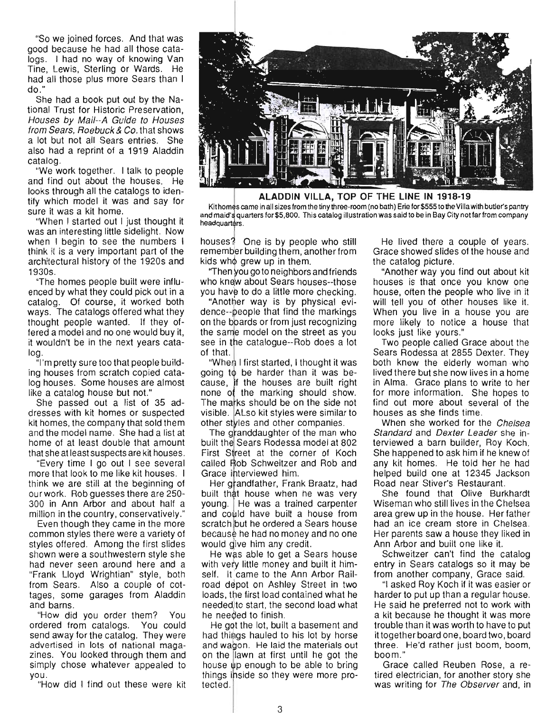"So we joined forces. And that was good because he had all those catalogs. I had no way of knowing Van Tine, Lewis, Sterling or Wards. He had all those plus more Sears than I do ."

She had a book put out by the National Trust for Historic Preservation, Houses by Mail--A Guide to Houses from Sears, Roebuck & Co. that shows a lot but not all Sears entries. She also had a reprint of a 1919 Aladdin catalog.

"We work together. I talk to people and find out about the houses. He looks through all the catalogs to identify which model it was and say for sure it was a kit home.

"When I started out I just thought it was an interesting little sidelight. Now when I begin to see the numbers I think it is a very important part of the architectural history of the 1920s and 1930s.

"The homes people built were influenced by what they could pick out in a catalog. Of course, it worked both ways. The catalogs offered what they thought people wanted. If they offered a model and no one would buy it, it wouldn't be in the next years catalog.

"I'm pretty sure too that people building houses from scratch copied catalog houses. Some houses are almost like a catalog house but not."

She passed out a list of 35 addresses with kit homes or suspected kit homes, the company that sold them and the model name. She had a list at home of at least double that amount that she at least suspects are kit houses.

"Every time I go out I see several more that look to me like kit houses. I think we are still at the beginning of our work. Rob guesses there are 250- 300 in Ann Arbor and about half a million in the country, conservatively."

Even though they came in the more common styles there were a variety of styles offered. Among the first slides shown were a southwestern style she had never seen around here and a "Frank Lloyd Wrightian" style, both from Sears. Also a couple of cottages, some garages from Aladdin and barns.

"How did you order them? You ordered from catalogs. You could send away for the catalog. They were advertised in lots of national magazines. You looked through them and simply chose whatever appealed to you.

"How did I find out these were kit



**ALADDIN VILLA, TOP OF THE LINE IN 1918-19** 

Kithomes came in all sizes from the tiny three-room (no bath) Erie for \$555 to the Villa with butler's pantry and maid's quarters for \$5,800. This catalog illustration was said to be in Bay City not far from company headquarters.

houses? One is by people who still remember building them, another from kids who arew up in them.

"Then you go to neighbors and friends who knew about Sears houses--those you have to do a little more checking.

"Another way is by physical evidence--people that find the markings on the boards or from just recognizing the same model on the street as you see in the catalogue--Rob does a lot of that.

"When I first started, I thought it was going to be harder than it was because, if the houses are built right hone of the marking should show. The marks should be on the side not visible. ALso kit styles were similar to other styles and other companies.

The granddaughter of the man who built the Sears Rodessa model at 802 First Street at the corner of Koch called Rob Schweitzer and Rob and Grace interviewed him.

Her grandfather, Frank Braatz, had built that house when he was very young. He was a trained carpenter and could have built a house from scratch but he ordered a Sears house because he had no money and no one would dive him any credit.

He was able to get a Sears house with very little money and built it himself. It came to the Ann Arbor Railroad depot on Ashley Street in two loads, the first load contained what he needed)to start, the second load what he needed to finish.

He got the lot, built a basement and had things hauled to his lot by horse and wagon. He laid the materials out on the lawn at first until he got the house up enough to be able to bring things inside so they were more protected.

He lived there a couple of years. Grace showed slides of the house and the catalog picture.

"Another way you find out about kit houses is that once you know one house, often the people who live in it will tell you of other houses like it. When you live in a house you are more likely to notice a house that looks just like yours."

Two people called Grace about the Sears Rodessa at 2855 Dexter. They both knew the elderly woman who lived there but she now lives in a home in Alma. Grace plans to write to her for more information. She hopes to find out more about several of the houses as she finds time.

When she worked for the Chelsea Standard and Dexter Leader she interviewed a barn builder, Roy Koch. She happened to ask him if he knew of any kit homes. He told her he had helped build one at 12345 Jackson Road near Stiver's Restaurant.

She found that Olive Burkhardt Wiseman who still lives in the Chelsea area grew up in the house. Her father had an ice cream store in Chelsea. Her parents saw a house they liked in Ann Arbor and built one like it.

Schweitzer can't find the catalog entry in Sears catalogs so it may be from another company, Grace said.

"I asked Roy Koch if it was easier or harder to put up than a regular nouse. He said he preferred not to work with a kit because he thought it was more trouble than it was worth to have to put it together board one, board two, board three. He'd rather just boom, boom, boom."

Grace called Reuben Rose, a retired electrician, for another story she was writing for The Observer and, in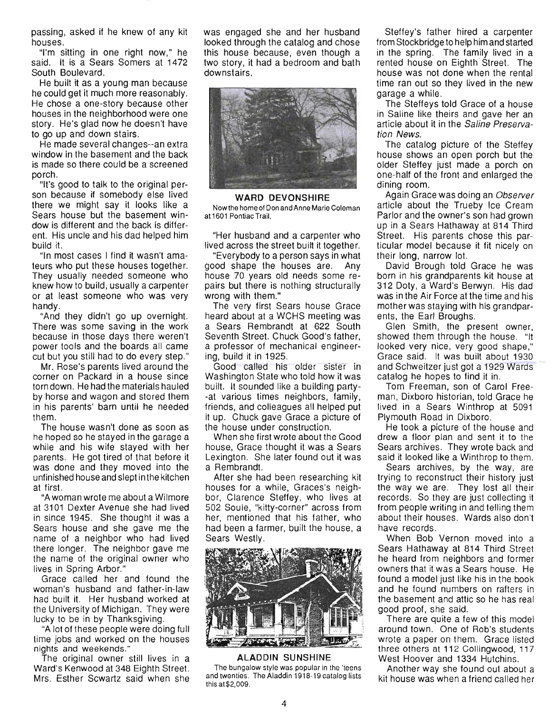passing, asked if he knew of any kit houses.

"I'm sitting in one right now," he said. It is a Sears Somers at 1472 South Boulevard.

He built it as a young man because he could get it much more reasonably. He chose a one-story because other houses in the neighborhood were one story. He's glad now he doesn't have to go up and down stairs.

He made several changes--an extra window in the basement and the back is made so there could be a screened porch.

"It's good to talk to the original person because if somebody else lived there we might say it looks like a Sears house but the basement window is different and the back is different. His uncle and his dad helped him build it.

"In most cases I find it wasn't amateurs who put these houses together. They usually needed someone who knew how to build, usually a carpenter or at least someone who was very handy.

"And they didn't go up overnight. There was some saving in the work because in those days there weren't power tools and the boards all came cut but you still had to do every step."

Mr. Rose's parents lived around the corner on Packard in a house since torn down. He had the materials hauled by horse and wagon and stored them in his parents' barn until he needed them.

The house wasn't done as soon as he hoped so he stayed in the garage a while and his wife stayed with her parents. He got tired of that before it was done and they moved into the unfinished house and slept inthe kitchen at first.

"A woman wrote me about a Wilmore at 3101 Dexter Avenue she had lived in since 1945. She thought it was a Sears house and she gave me the name of a neighbor who had lived there longer. The neighbor gave me the name of the original owner who lives in Spring Arbor."

Grace called her and found the woman's husband and father-in-law had built it. Her husband worked at the University of Michigan. They were lucky to be in by Thanksgiving.

"A lot of these people were doing full time jobs and worked on the houses nights and weekends."

The original owner still lives in a Ward's Kenwood at 348 Eighth Street. Mrs. Esther Scwartz said when she

was engaged she and her husband looked through the catalog and chose this house because, even though a two story, it had a bedroom and bath downstairs.



WARD DEVONSHIRE

Nowthe home of Don and Anne Marie Coleman at 1601 Pontiac Trail.

"Her husband and a carpenter who lived across the street built it together.

"Everybody to a person says in what good shape the houses are. Any house 70 years old needs some repairs but there is nothing structurally wrong with them."

The very first Sears house Grace heard about at a WCHS meeting was a Sears Rembrandt at 622 South Seventh Street. Chuck Good's father, a professor of mechanical engineering, build it in 1925.

Good called his older sister in Washington State who told how it was built. It sounded like a building party- -at various times neighbors, family , friends, and colleagues all helped put it up. Chuck gave Grace a picture of the house under construction.

When she first wrote about the Good house, Grace thought it was a Sears Lexington. She later found out it was a Rembrandt.

After she had been researching kit houses for a while, Graces's neighbor, Clarence Steffey, who lives at 502 Soule, "kitty-corner" across from her, mentioned that his father, who had been a farmer, built the house, a Sears Westly.



ALADDIN SUNSHINE

The bungalow style was popular in the 'teens and twenties. The Aladdin 1918-19 catalog lists this at\$2,009.

Steffey's father hired a carpenter from Stockbridge to help him and started in the spring. The family lived in a rented house on Eighth Street. The house was not done when the rental time ran out so they lived in the new garage a while.

. The Steffeys told Grace of a house in Saline like theirs and gave her an article about it in the Saline Preservation News.

The catalog picture of the Steffey house shows an open porch but the older Steffey just made a porch on one-half of the front and enlarged the dining room.

Again Grace was doing an Observer article about the Trueby Ice Cream Parlor and the owner's son had grown up in a Sears Hathaway at 814 Third Street. His parents chose this particular model because it fit nicely on their long, narrow lot.

David Brough told Grace he was born in his grandparents kit house at 312 Doty, a Ward's Berwyn. His dad was in the Air Force at the time and his mother was staying with his grandparents, the Earl Broughs.

Glen Smith, the present owner, showed them through the house. "It looked very nice, very good shape," Grace said. It was built about 1930 and Schweitzer just got a 1929 Wards catalog he hopes to find it in.

Tom Freeman, son of Carol Freeman, Dixboro historian, told Grace he lived in a Sears Winthrop at 5091 Plymouth Road in Dixboro.

He took a picture of the house and drew a floor plan and sent it to the Sears archives. They wrote back and said it looked like a Winthrop to them.

Sears archives, by the way, are trying to reconstruct their history just the way we are. They lost all their records. So they are just collecting it from people writing in and telling them about their houses. Wards also don't have records.

When Bob Vernon moved into a Sears Hathaway at 814 Third Street he heard from neighbors and former owners that it was a Sears house. He found a model just like his in the book and he found numbers on rafters in the basement and attic so he has real good proof, she said.

There are quite a few of this model around town. One of Rob's students wrote a paper on them. Grace listed three others at 112 Collingwood, 117 West Hoover and 1334 Hutchins.

Another way she found out about a kit house was when a friend called her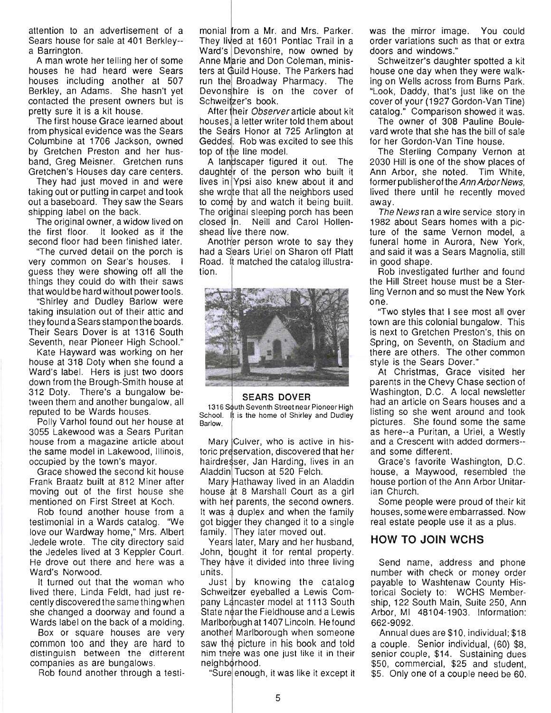attention to an advertisement of a Sears house for sale at 401 Berkley- a Barrington.

A man wrote her telling her of some houses he had heard were Sears houses including another at 507 Berkley, an Adams. She hasn't yet contacted the present owners but is pretty sure it is a kit house.

The first house Grace learned about from physical evidence was the Sears Columbine at 1706 Jackson, owned by Gretchen Preston and her husband, Greg Meisner. Gretchen runs Gretchen's Houses day care centers.

They had just moved in and were taking out or putting in carpet and took out a baseboard. They saw the Sears shipping label on the back.

The original owner, a widow lived on the first floor. It looked as if the second floor had been finished later.

"The curved detail on the porch is very common on Sear's houses. I guess they were showing off all the things they could do with their saws that would be hard without power tools.

"Shirley and Dudley Barlow were taking insulation out of their attic and they found a Sears stamp on the boards. Their Sears Dover is at 1316 South Seventh, near Pioneer High School."

Kate Hayward was working on her house at 318 Doty when she found a Ward's label. Hers is just two doors down from the Brough-Smith house at 312 Doty. There's a bungalow between them and another bungalow, all reputed to be Wards houses.

Polly Varhol found out her house at 3055 Lakewood was a Sears Puritan house from a magazine article about the same model in Lakewood, Illinois, occupied by the town's mayor.

Grace showed the second kit house Frank Braatz built at 812 Miner after moving out of the first house she mentioned on First Street at Koch.

Rob found another house from a testimonial in a Wards catalog. "We love our Wardway home," Mrs. Albert Jedele wrote. The city directory said the Jedeles lived at 3 Keppler Court. He drove out there and here was a Ward's Norwood.

It turned out that the woman who lived there, Linda Feldt, had just recently discovered the same thing when she changed a doorway and found a Wards label on the back of a molding.

Box or square houses are very common too and they are hard to distinguish between the different companies as are bungalows.

Rob found another through a testi-

monial from a Mr. and Mrs. Parker. They lived at 1601 Pontiac Trail in a Ward's Devonshire, now owned by Anne Marie and Don Coleman, ministers at Guild House. The Parkers had run the Broadway Pharmacy. The Devonshire is on the cover of Schweitzer's book.

After their *Observer* article about kit houses, a letter writer told them about the Sears Honor at 725 Arlington at Geddes. Rob was excited to see this top of the line model.

A landscaper figured it out. The d aughter of the person who built it lives in Ypsi also knew about it and she wrote that all the neighbors used to come by and watch it being built. The original sleeping porch has been closed in. Neill and Carol Hollenshead live there now.

Another person wrote to say they had a Sears Uriel on Sharon off Platt Road. It matched the catalog illustration.



#### **SEARS DOVER**

1316 South Seventh Street near Pioneer High School. It is the home of Shirley and Dudley Barlow.

Mary Culver, who is active in historic preservation, discovered that her hairdresser, Jan Harding, lives in an Aladdin Tucson at 520 Felch.

Mary Hathaway lived in an Aladdin house at 8 Marshall Court as a girl with her parents, the second owners. It was a duplex and when the family got bigger they changed it to a single family. They later moved out.

Years later, Mary and her husband, John, bought it for rental property. They have it divided into three living units.

by knowing the catalog Schweitzer eyeballed a Lewis Company Lancaster model at 1113 South State near the Fieldhouse and a Lewis Marlborough at 1407 Lincoln. He found another Marlborough when someone saw the picture in his book and told him there was one just like it in their neighborhood.

"Sure|enough, it was like it except it

was the mirror image. You could order variations such as that or extra doors and windows."

Schweitzer's daughter spotted a kit house one day when they were walking on Wells across from Burns Park. "Look, Daddy, that's just like on the cover of your (1927 Gordon-Van Tine) catalog." Comparison showed it was.

The owner of 308 Pauline Boulevard wrote that she has the bill of sale for her Gordon-Van Tine house.

The Sterling Company Vernon at 2030 Hill is one of the show places of Ann Arbor, she noted. Tim White, former publisher of the Ann Arbor News, lived there until he recently moved away.

The News ran a wire service story in 1982 about Sears homes with a picture of the same Vernon model, a funeral home in Aurora, New York, and said it was a Sears Magnolia, still in good shape.

Rob investigated further and found the Hill Street house must be a Sterling Vernon and so must the New York one.

"Two styles that I see most all over town are this colonial bungalow. This is next to Gretchen Preston's, this on Spring, on Seventh, on Stadium and there are others. The other common style is the Sears Dover."

At Christmas, Grace visited her parents in the Chevy Chase section of Washington, D.C. A local newsletter had an article on Sears houses and a listing so she went around and took pictures. She found some the same as here--a Puritan, a Uriel, a Westly and a Crescent with added dormers- and some different.

Grace's favorite Washington, D.C. house, a Maywood, resembled the house portion of the Ann Arbor Unitarian Church.

Some people were proud of their kit houses, some were embarrassed. Now real estate people use it as a plus.

#### **HOW TO JOIN WCHS**

Send name, address and phone number with check or money order payable to Washtenaw County Historical Society to: WCHS Membership, 122 South Main, Suite 250, Ann Arbor, MI 48104-1903. Information: 662-9092.

Annual dues are \$10, individual; \$18 a couple. Senior individual, (60) \$8, senior couple, \$14. Sustaining dues \$50, commercial, \$25 and student, \$5. Only one of a couple need be 60.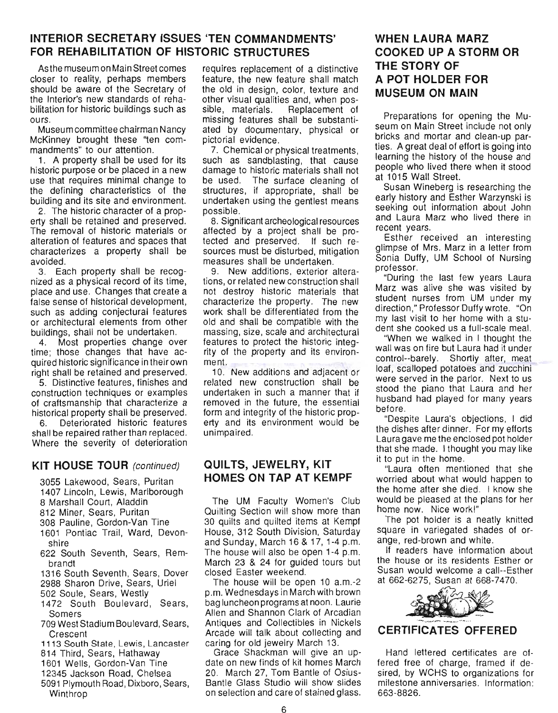### **INTERIOR SECRETARY ISSUES 'TEN COMMANDMENTS' FOR REHABILITATION OF HISTORIC STRUCTURES**

As the museum on Main Street comes closer to reality, perhaps members should be aware of the Secretary of the Interior's new standards of rehabilitation for historic buildings such as ours.

Museum committee chairman Nancy McKinney brought these "ten commandments" to our attention.

1. A property shall be used for its historic purpose or be placed in a new use that requires minimal change to the defining characteristics of the building and its site and environment.

2. The historic character of a property shall be retained and preserved. The removal of historic materials or alteration of features and spaces that characterizes a property shall be avoided.

3. Each property shall be recognized as a physical record of its time, place and use. Changes that create a false sense of historical development, such as adding conjectural features or architectural elements from other buildings, shall not be undertaken.

4. Most properties change over time; those changes that have acquired historic significance in their own right shall be retained and preserved.

5. Distinctive features, finishes and construction techniques or examples of craftsmanship that characterize a historical property shall be preserved.

6. Deteriorated historic features shall be repaired rather than replaced. Where the severity of deterioration

#### **KIT HOUSE TOUR** (continued)

3055 Lakewood, Sears, Puritan

- 1407 Lincoln, Lewis, Marlborough
- 8 Marshall Court, Aladdin
- 812 Miner, Sears, Puritan
- 308 Pauline, Gordon-Van Tine
- 1601 Pontiac Trail, Ward, Devonshire
- 622 South Seventh, Sears, Rembrandt
- 1316 South Seventh, Sears, Dover
- 2988 Sharon Drive, Sears, Uriel
- 502 Soule, Sears, Westly
- 1472 South Boulevard, Sears, Somers
- 709 West Stadium Boulevard, Sears, Crescent
- 1113 South State, Lewis, Lancaster
- 814 Third, Sears, Hathaway
- 1601 Wells, Gordon-Van Tine
- 12345 Jackson Road, Chelsea
- 5091 Plymouth Road, Dixboro, Sears, Winthrop

requires replacement of a distinctive feature, the new feature shall match the old in deSign, color, texture and other visual qualities and, when possible, materials. Replacement of missing features shall be substantiated by documentary, physical or pictorial evidence.

7. Chemical or physical treatments, such as sandblasting, that cause damage to historic materials shall not be used. The surface cleaning of structures, if appropriate, shall be undertaken using the gentlest means possible.

8. Significant archeological resources affected by a project shall be protected and preserved. If such resources must be disturbed, mitigation measures shall be undertaken.

9. New additions, exterior alterations, or related new construction shall not destroy historic materials that characterize the property. The new work shall be differentiated from the old and shall be compatible with the massing, size, scale and architectural features to protect the historic integrity of the property and its environment.

10. New additions and adjacent or related new construction shall be undertaken in such a manner that if removed in the future, the essential form and integrity of the historic property and its environment would be unimpaired.

### **QUILTS, JEWELRY, KIT HOMES ON TAP AT KEMPF**

The UM Faculty Women's Club Quilting Section will show more than 30 quilts and quilted items at Kempf House, 312 South Division, Saturday and Sunday, March 16 & 17, 1-4 p.m. The house will also be open 1-4 p.m. March 23 & 24 for guided tours but closed Easter weekend.

The house will be open 10 a.m.-2 p.m. Wednesdays in March with brown bag luncheon programs at noon. Laurie Allen and Shannon Clark of Arcadian Antiques and Collectibles in Nickels Arcade will talk about collecting and caring for old jewelry March 13.

Grace Shackman will give an update on new finds of kit homes March 20. March 27, Tom Bantle of Osius-Bantle Glass Studio will show slides on selection and care of stained glass.

# **WHEN LAURA MARZ COOKED UP A STORM OR THE STORY OF A POT HOLDER FOR MUSEUM ON MAIN**

Preparations for opening the Museum on Main Street include not only bricks and mortar and clean-up parties. A great deal of effort is going into learning the history of the house and people who lived there when it stood at 1015 Wall Street.

Susan Wineberg is researching the early history and Esther Warzynski is seeking out information about John and Laura Marz who lived there in recent years.

Esther received an interesting glimpse of Mrs. Marz in a letter from Sonia Duffy, UM School of Nursing professor.

"During the last few years Laura Marz was alive she was visited by student nurses from UM under my direction," Professor Duffy wrote. "On my last visit to her home with a student she cooked us a full-scale meal.

"When we walked in I thought the wall was on fire but Laura had it under control--barely. Shortly after, meat loaf, scalloped potatoes and zucchini were served in the parlor. Next to us stood the piano that Laura and her husband had played for many years before.

"Despite Laura's objections, I did the dishes after dinner. For my efforts Laura gave me the enclosed pot holder that she made. I thought you may like it to put in the home.

"Laura often mentioned that she worried about what would happen to the home after she died. I know she would be pleased at the plans for her home now. Nice work!"

The pot holder is a neatly knitted square in variegated shades of orange, red-brown and white.

If readers have information about the house or its residents Esther or Susan would welcome a call--Esther at 662-6275, Susan at 668-7470.



### **CERTIFICATES OFFERED**

Hand lettered certificates are offered free of charge, framed if desired, by WCHS to organizations for milestone anniversaries. Information: 663-8826.